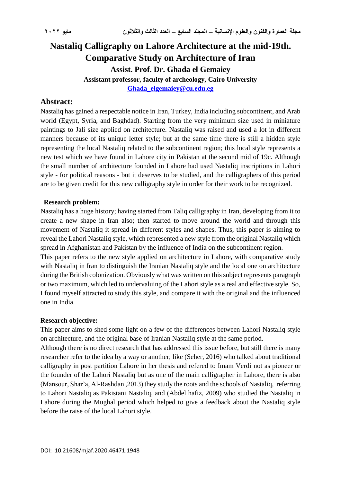# **Nastaliq Calligraphy on Lahore Architecture at the mid-19th. Comparative Study on Architecture of Iran Assist. Prof. Dr. Ghada el Gemaiey Assistant professor, faculty of archeology, Cairo University [Ghada\\_elgemaiey@cu.edu.eg](mailto:Ghada_elgemaiey@cu.edu.eg)**

# **Abstract:**

Nastaliq has gained a respectable notice in Iran, Turkey, India including subcontinent, and Arab world (Egypt, Syria, and Baghdad). Starting from the very minimum size used in miniature paintings to Jali size applied on architecture. Nastaliq was raised and used a lot in different manners because of its unique letter style; but at the same time there is still a hidden style representing the local Nastaliq related to the subcontinent region; this local style represents a new test which we have found in Lahore city in Pakistan at the second mid of 19c. Although the small number of architecture founded in Lahore had used Nastaliq inscriptions in Lahori style - for political reasons - but it deserves to be studied, and the calligraphers of this period are to be given credit for this new calligraphy style in order for their work to be recognized.

### **Research problem:**

Nastaliq has a huge history; having started from Taliq calligraphy in Iran, developing from it to create a new shape in Iran also; then started to move around the world and through this movement of Nastaliq it spread in different styles and shapes. Thus, this paper is aiming to reveal the Lahori Nastaliq style, which represented a new style from the original Nastaliq which spread in Afghanistan and Pakistan by the influence of India on the subcontinent region.

This paper refers to the new style applied on architecture in Lahore, with comparative study with Nastaliq in Iran to distinguish the Iranian Nastaliq style and the local one on architecture during the British colonization. Obviously what was written on this subject represents paragraph or two maximum, which led to undervaluing of the Lahori style as a real and effective style. So, I found myself attracted to study this style, and compare it with the original and the influenced one in India.

#### **Research objective:**

This paper aims to shed some light on a few of the differences between Lahori Nastaliq style on architecture, and the original base of Iranian Nastaliq style at the same period.

Although there is no direct research that has addressed this issue before, but still there is many researcher refer to the idea by a way or another; like (Seher, 2016) who talked about traditional calligraphy in post partition Lahore in her thesis and refered to Imam Verdi not as pioneer or the founder of the Lahori Nastaliq but as one of the main calligrapher in Lahore, there is also (Mansour, Shar'a, Al-Rashdan ,2013) they study the roots and the schools of Nastaliq, referring to Lahori Nastaliq as Pakistani Nastaliq, and (Abdel hafiz, 2009) who studied the Nastaliq in Lahore during the Mughal period which helped to give a feedback about the Nastaliq style before the raise of the local Lahori style.